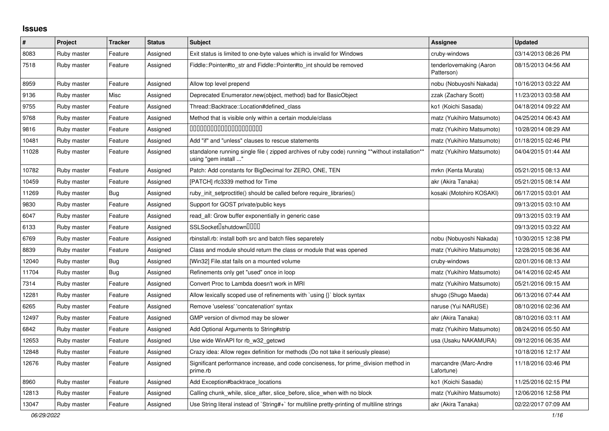## **Issues**

| #     | Project     | <b>Tracker</b> | <b>Status</b> | <b>Subject</b>                                                                                                         | <b>Assignee</b>                       | <b>Updated</b>      |
|-------|-------------|----------------|---------------|------------------------------------------------------------------------------------------------------------------------|---------------------------------------|---------------------|
| 8083  | Ruby master | Feature        | Assigned      | Exit status is limited to one-byte values which is invalid for Windows                                                 | cruby-windows                         | 03/14/2013 08:26 PM |
| 7518  | Ruby master | Feature        | Assigned      | Fiddle::Pointer#to str and Fiddle::Pointer#to int should be removed                                                    | tenderlovemaking (Aaron<br>Patterson) | 08/15/2013 04:56 AM |
| 8959  | Ruby master | Feature        | Assigned      | Allow top level prepend                                                                                                | nobu (Nobuyoshi Nakada)               | 10/16/2013 03:22 AM |
| 9136  | Ruby master | Misc           | Assigned      | Deprecated Enumerator.new(object, method) bad for BasicObject                                                          | zzak (Zachary Scott)                  | 11/23/2013 03:58 AM |
| 9755  | Ruby master | Feature        | Assigned      | Thread::Backtrace::Location#defined_class                                                                              | ko1 (Koichi Sasada)                   | 04/18/2014 09:22 AM |
| 9768  | Ruby master | Feature        | Assigned      | Method that is visible only within a certain module/class                                                              | matz (Yukihiro Matsumoto)             | 04/25/2014 06:43 AM |
| 9816  | Ruby master | Feature        | Assigned      | 00000000000000000000                                                                                                   | matz (Yukihiro Matsumoto)             | 10/28/2014 08:29 AM |
| 10481 | Ruby master | Feature        | Assigned      | Add "if" and "unless" clauses to rescue statements                                                                     | matz (Yukihiro Matsumoto)             | 01/18/2015 02:46 PM |
| 11028 | Ruby master | Feature        | Assigned      | standalone running single file (zipped archives of ruby code) running **without installation**<br>using "gem install " | matz (Yukihiro Matsumoto)             | 04/04/2015 01:44 AM |
| 10782 | Ruby master | Feature        | Assigned      | Patch: Add constants for BigDecimal for ZERO, ONE, TEN                                                                 | mrkn (Kenta Murata)                   | 05/21/2015 08:13 AM |
| 10459 | Ruby master | Feature        | Assigned      | [PATCH] rfc3339 method for Time                                                                                        | akr (Akira Tanaka)                    | 05/21/2015 08:14 AM |
| 11269 | Ruby master | Bug            | Assigned      | ruby init setproctitle() should be called before require libraries()                                                   | kosaki (Motohiro KOSAKI)              | 06/17/2015 03:01 AM |
| 9830  | Ruby master | Feature        | Assigned      | Support for GOST private/public keys                                                                                   |                                       | 09/13/2015 03:10 AM |
| 6047  | Ruby master | Feature        | Assigned      | read_all: Grow buffer exponentially in generic case                                                                    |                                       | 09/13/2015 03:19 AM |
| 6133  | Ruby master | Feature        | Assigned      | SSLSocket <sup>[</sup> shutdown <sup>[11]</sup>                                                                        |                                       | 09/13/2015 03:22 AM |
| 6769  | Ruby master | Feature        | Assigned      | rbinstall.rb: install both src and batch files separetely                                                              | nobu (Nobuyoshi Nakada)               | 10/30/2015 12:38 PM |
| 8839  | Ruby master | Feature        | Assigned      | Class and module should return the class or module that was opened                                                     | matz (Yukihiro Matsumoto)             | 12/28/2015 08:36 AM |
| 12040 | Ruby master | <b>Bug</b>     | Assigned      | [Win32] File.stat fails on a mounted volume                                                                            | cruby-windows                         | 02/01/2016 08:13 AM |
| 11704 | Ruby master | Bug            | Assigned      | Refinements only get "used" once in loop                                                                               | matz (Yukihiro Matsumoto)             | 04/14/2016 02:45 AM |
| 7314  | Ruby master | Feature        | Assigned      | Convert Proc to Lambda doesn't work in MRI                                                                             | matz (Yukihiro Matsumoto)             | 05/21/2016 09:15 AM |
| 12281 | Ruby master | Feature        | Assigned      | Allow lexically scoped use of refinements with `using $\{\}$ ` block syntax                                            | shugo (Shugo Maeda)                   | 06/13/2016 07:44 AM |
| 6265  | Ruby master | Feature        | Assigned      | Remove 'useless' 'concatenation' syntax                                                                                | naruse (Yui NARUSE)                   | 08/10/2016 02:36 AM |
| 12497 | Ruby master | Feature        | Assigned      | GMP version of divmod may be slower                                                                                    | akr (Akira Tanaka)                    | 08/10/2016 03:11 AM |
| 6842  | Ruby master | Feature        | Assigned      | Add Optional Arguments to String#strip                                                                                 | matz (Yukihiro Matsumoto)             | 08/24/2016 05:50 AM |
| 12653 | Ruby master | Feature        | Assigned      | Use wide WinAPI for rb w32 getcwd                                                                                      | usa (Usaku NAKAMURA)                  | 09/12/2016 06:35 AM |
| 12848 | Ruby master | Feature        | Assigned      | Crazy idea: Allow regex definition for methods (Do not take it seriously please)                                       |                                       | 10/18/2016 12:17 AM |
| 12676 | Ruby master | Feature        | Assigned      | Significant performance increase, and code conciseness, for prime division method in<br>prime.rb                       | marcandre (Marc-Andre<br>Lafortune)   | 11/18/2016 03:46 PM |
| 8960  | Ruby master | Feature        | Assigned      | Add Exception#backtrace_locations                                                                                      | ko1 (Koichi Sasada)                   | 11/25/2016 02:15 PM |
| 12813 | Ruby master | Feature        | Assigned      | Calling chunk while, slice after, slice before, slice when with no block                                               | matz (Yukihiro Matsumoto)             | 12/06/2016 12:58 PM |
| 13047 | Ruby master | Feature        | Assigned      | Use String literal instead of `String#+` for multiline pretty-printing of multiline strings                            | akr (Akira Tanaka)                    | 02/22/2017 07:09 AM |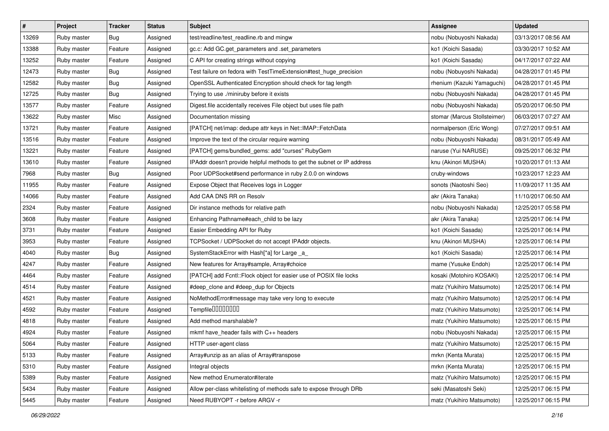| $\vert$ # | Project     | <b>Tracker</b> | <b>Status</b> | <b>Subject</b>                                                         | Assignee                     | <b>Updated</b>      |
|-----------|-------------|----------------|---------------|------------------------------------------------------------------------|------------------------------|---------------------|
| 13269     | Ruby master | Bug            | Assigned      | test/readline/test_readline.rb and mingw                               | nobu (Nobuyoshi Nakada)      | 03/13/2017 08:56 AM |
| 13388     | Ruby master | Feature        | Assigned      | gc.c: Add GC.get_parameters and .set_parameters                        | ko1 (Koichi Sasada)          | 03/30/2017 10:52 AM |
| 13252     | Ruby master | Feature        | Assigned      | C API for creating strings without copying                             | ko1 (Koichi Sasada)          | 04/17/2017 07:22 AM |
| 12473     | Ruby master | Bug            | Assigned      | Test failure on fedora with TestTimeExtension#test_huge_precision      | nobu (Nobuyoshi Nakada)      | 04/28/2017 01:45 PM |
| 12582     | Ruby master | Bug            | Assigned      | OpenSSL Authenticated Encryption should check for tag length           | rhenium (Kazuki Yamaguchi)   | 04/28/2017 01:45 PM |
| 12725     | Ruby master | Bug            | Assigned      | Trying to use ./miniruby before it exists                              | nobu (Nobuyoshi Nakada)      | 04/28/2017 01:45 PM |
| 13577     | Ruby master | Feature        | Assigned      | Digest.file accidentally receives File object but uses file path       | nobu (Nobuyoshi Nakada)      | 05/20/2017 06:50 PM |
| 13622     | Ruby master | Misc           | Assigned      | Documentation missing                                                  | stomar (Marcus Stollsteimer) | 06/03/2017 07:27 AM |
| 13721     | Ruby master | Feature        | Assigned      | [PATCH] net/imap: dedupe attr keys in Net::IMAP::FetchData             | normalperson (Eric Wong)     | 07/27/2017 09:51 AM |
| 13516     | Ruby master | Feature        | Assigned      | Improve the text of the circular require warning                       | nobu (Nobuyoshi Nakada)      | 08/31/2017 05:49 AM |
| 13221     | Ruby master | Feature        | Assigned      | [PATCH] gems/bundled_gems: add "curses" RubyGem                        | naruse (Yui NARUSE)          | 09/25/2017 06:32 PM |
| 13610     | Ruby master | Feature        | Assigned      | IPAddr doesn't provide helpful methods to get the subnet or IP address | knu (Akinori MUSHA)          | 10/20/2017 01:13 AM |
| 7968      | Ruby master | Bug            | Assigned      | Poor UDPSocket#send performance in ruby 2.0.0 on windows               | cruby-windows                | 10/23/2017 12:23 AM |
| 11955     | Ruby master | Feature        | Assigned      | Expose Object that Receives logs in Logger                             | sonots (Naotoshi Seo)        | 11/09/2017 11:35 AM |
| 14066     | Ruby master | Feature        | Assigned      | Add CAA DNS RR on Resolv                                               | akr (Akira Tanaka)           | 11/10/2017 06:50 AM |
| 2324      | Ruby master | Feature        | Assigned      | Dir instance methods for relative path                                 | nobu (Nobuyoshi Nakada)      | 12/25/2017 05:58 PM |
| 3608      | Ruby master | Feature        | Assigned      | Enhancing Pathname#each_child to be lazy                               | akr (Akira Tanaka)           | 12/25/2017 06:14 PM |
| 3731      | Ruby master | Feature        | Assigned      | Easier Embedding API for Ruby                                          | ko1 (Koichi Sasada)          | 12/25/2017 06:14 PM |
| 3953      | Ruby master | Feature        | Assigned      | TCPSocket / UDPSocket do not accept IPAddr objects.                    | knu (Akinori MUSHA)          | 12/25/2017 06:14 PM |
| 4040      | Ruby master | Bug            | Assigned      | SystemStackError with Hash[*a] for Large _a_                           | ko1 (Koichi Sasada)          | 12/25/2017 06:14 PM |
| 4247      | Ruby master | Feature        | Assigned      | New features for Array#sample, Array#choice                            | mame (Yusuke Endoh)          | 12/25/2017 06:14 PM |
| 4464      | Ruby master | Feature        | Assigned      | [PATCH] add Fcntl::Flock object for easier use of POSIX file locks     | kosaki (Motohiro KOSAKI)     | 12/25/2017 06:14 PM |
| 4514      | Ruby master | Feature        | Assigned      | #deep_clone and #deep_dup for Objects                                  | matz (Yukihiro Matsumoto)    | 12/25/2017 06:14 PM |
| 4521      | Ruby master | Feature        | Assigned      | NoMethodError#message may take very long to execute                    | matz (Yukihiro Matsumoto)    | 12/25/2017 06:14 PM |
| 4592      | Ruby master | Feature        | Assigned      | Tempfile0000000                                                        | matz (Yukihiro Matsumoto)    | 12/25/2017 06:14 PM |
| 4818      | Ruby master | Feature        | Assigned      | Add method marshalable?                                                | matz (Yukihiro Matsumoto)    | 12/25/2017 06:15 PM |
| 4924      | Ruby master | Feature        | Assigned      | mkmf have_header fails with C++ headers                                | nobu (Nobuyoshi Nakada)      | 12/25/2017 06:15 PM |
| 5064      | Ruby master | Feature        | Assigned      | HTTP user-agent class                                                  | matz (Yukihiro Matsumoto)    | 12/25/2017 06:15 PM |
| 5133      | Ruby master | Feature        | Assigned      | Array#unzip as an alias of Array#transpose                             | mrkn (Kenta Murata)          | 12/25/2017 06:15 PM |
| 5310      | Ruby master | Feature        | Assigned      | Integral objects                                                       | mrkn (Kenta Murata)          | 12/25/2017 06:15 PM |
| 5389      | Ruby master | Feature        | Assigned      | New method Enumerator#iterate                                          | matz (Yukihiro Matsumoto)    | 12/25/2017 06:15 PM |
| 5434      | Ruby master | Feature        | Assigned      | Allow per-class whitelisting of methods safe to expose through DRb     | seki (Masatoshi Seki)        | 12/25/2017 06:15 PM |
| 5445      | Ruby master | Feature        | Assigned      | Need RUBYOPT - r before ARGV - r                                       | matz (Yukihiro Matsumoto)    | 12/25/2017 06:15 PM |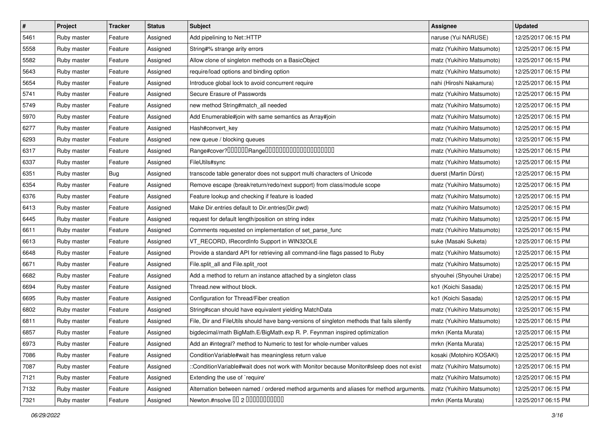| $\pmb{\#}$ | Project     | <b>Tracker</b> | <b>Status</b> | <b>Subject</b>                                                                             | Assignee                  | <b>Updated</b>      |
|------------|-------------|----------------|---------------|--------------------------------------------------------------------------------------------|---------------------------|---------------------|
| 5461       | Ruby master | Feature        | Assigned      | Add pipelining to Net::HTTP                                                                | naruse (Yui NARUSE)       | 12/25/2017 06:15 PM |
| 5558       | Ruby master | Feature        | Assigned      | String#% strange arity errors                                                              | matz (Yukihiro Matsumoto) | 12/25/2017 06:15 PM |
| 5582       | Ruby master | Feature        | Assigned      | Allow clone of singleton methods on a BasicObject                                          | matz (Yukihiro Matsumoto) | 12/25/2017 06:15 PM |
| 5643       | Ruby master | Feature        | Assigned      | require/load options and binding option                                                    | matz (Yukihiro Matsumoto) | 12/25/2017 06:15 PM |
| 5654       | Ruby master | Feature        | Assigned      | Introduce global lock to avoid concurrent require                                          | nahi (Hiroshi Nakamura)   | 12/25/2017 06:15 PM |
| 5741       | Ruby master | Feature        | Assigned      | Secure Erasure of Passwords                                                                | matz (Yukihiro Matsumoto) | 12/25/2017 06:15 PM |
| 5749       | Ruby master | Feature        | Assigned      | new method String#match_all needed                                                         | matz (Yukihiro Matsumoto) | 12/25/2017 06:15 PM |
| 5970       | Ruby master | Feature        | Assigned      | Add Enumerable#join with same semantics as Array#join                                      | matz (Yukihiro Matsumoto) | 12/25/2017 06:15 PM |
| 6277       | Ruby master | Feature        | Assigned      | Hash#convert_key                                                                           | matz (Yukihiro Matsumoto) | 12/25/2017 06:15 PM |
| 6293       | Ruby master | Feature        | Assigned      | new queue / blocking queues                                                                | matz (Yukihiro Matsumoto) | 12/25/2017 06:15 PM |
| 6317       | Ruby master | Feature        | Assigned      |                                                                                            | matz (Yukihiro Matsumoto) | 12/25/2017 06:15 PM |
| 6337       | Ruby master | Feature        | Assigned      | FileUtils#sync                                                                             | matz (Yukihiro Matsumoto) | 12/25/2017 06:15 PM |
| 6351       | Ruby master | <b>Bug</b>     | Assigned      | transcode table generator does not support multi characters of Unicode                     | duerst (Martin Dürst)     | 12/25/2017 06:15 PM |
| 6354       | Ruby master | Feature        | Assigned      | Remove escape (break/return/redo/next support) from class/module scope                     | matz (Yukihiro Matsumoto) | 12/25/2017 06:15 PM |
| 6376       | Ruby master | Feature        | Assigned      | Feature lookup and checking if feature is loaded                                           | matz (Yukihiro Matsumoto) | 12/25/2017 06:15 PM |
| 6413       | Ruby master | Feature        | Assigned      | Make Dir.entries default to Dir.entries(Dir.pwd)                                           | matz (Yukihiro Matsumoto) | 12/25/2017 06:15 PM |
| 6445       | Ruby master | Feature        | Assigned      | request for default length/position on string index                                        | matz (Yukihiro Matsumoto) | 12/25/2017 06:15 PM |
| 6611       | Ruby master | Feature        | Assigned      | Comments requested on implementation of set_parse_func                                     | matz (Yukihiro Matsumoto) | 12/25/2017 06:15 PM |
| 6613       | Ruby master | Feature        | Assigned      | VT_RECORD, IRecordInfo Support in WIN32OLE                                                 | suke (Masaki Suketa)      | 12/25/2017 06:15 PM |
| 6648       | Ruby master | Feature        | Assigned      | Provide a standard API for retrieving all command-line flags passed to Ruby                | matz (Yukihiro Matsumoto) | 12/25/2017 06:15 PM |
| 6671       | Ruby master | Feature        | Assigned      | File.split_all and File.split_root                                                         | matz (Yukihiro Matsumoto) | 12/25/2017 06:15 PM |
| 6682       | Ruby master | Feature        | Assigned      | Add a method to return an instance attached by a singleton class                           | shyouhei (Shyouhei Urabe) | 12/25/2017 06:15 PM |
| 6694       | Ruby master | Feature        | Assigned      | Thread.new without block.                                                                  | ko1 (Koichi Sasada)       | 12/25/2017 06:15 PM |
| 6695       | Ruby master | Feature        | Assigned      | Configuration for Thread/Fiber creation                                                    | ko1 (Koichi Sasada)       | 12/25/2017 06:15 PM |
| 6802       | Ruby master | Feature        | Assigned      | String#scan should have equivalent yielding MatchData                                      | matz (Yukihiro Matsumoto) | 12/25/2017 06:15 PM |
| 6811       | Ruby master | Feature        | Assigned      | File, Dir and FileUtils should have bang-versions of singleton methods that fails silently | matz (Yukihiro Matsumoto) | 12/25/2017 06:15 PM |
| 6857       | Ruby master | Feature        | Assigned      | bigdecimal/math BigMath.E/BigMath.exp R. P. Feynman inspired optimization                  | mrkn (Kenta Murata)       | 12/25/2017 06:15 PM |
| 6973       | Ruby master | Feature        | Assigned      | Add an #integral? method to Numeric to test for whole-number values                        | mrkn (Kenta Murata)       | 12/25/2017 06:15 PM |
| 7086       | Ruby master | Feature        | Assigned      | Condition Variable#wait has meaningless return value                                       | kosaki (Motohiro KOSAKI)  | 12/25/2017 06:15 PM |
| 7087       | Ruby master | Feature        | Assigned      | ::ConditionVariable#wait does not work with Monitor because Monitor#sleep does not exist   | matz (Yukihiro Matsumoto) | 12/25/2017 06:15 PM |
| 7121       | Ruby master | Feature        | Assigned      | Extending the use of `require'                                                             | matz (Yukihiro Matsumoto) | 12/25/2017 06:15 PM |
| 7132       | Ruby master | Feature        | Assigned      | Alternation between named / ordered method arguments and aliases for method arguments.     | matz (Yukihiro Matsumoto) | 12/25/2017 06:15 PM |
| 7321       | Ruby master | Feature        | Assigned      | Newton.#nsolve 00 2 0000000000                                                             | mrkn (Kenta Murata)       | 12/25/2017 06:15 PM |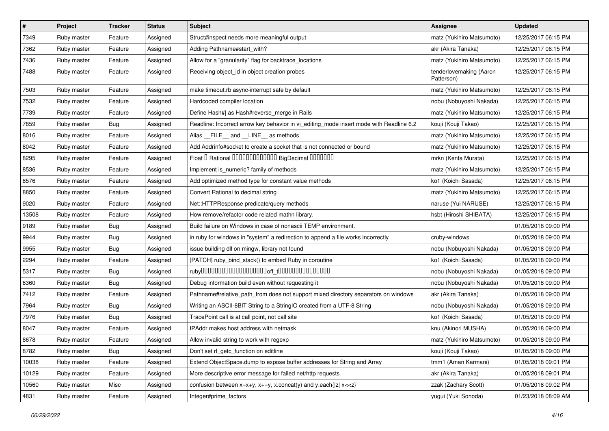| #     | Project     | <b>Tracker</b> | <b>Status</b> | Subject                                                                                 | <b>Assignee</b>                       | <b>Updated</b>      |
|-------|-------------|----------------|---------------|-----------------------------------------------------------------------------------------|---------------------------------------|---------------------|
| 7349  | Ruby master | Feature        | Assigned      | Struct#inspect needs more meaningful output                                             | matz (Yukihiro Matsumoto)             | 12/25/2017 06:15 PM |
| 7362  | Ruby master | Feature        | Assigned      | Adding Pathname#start_with?                                                             | akr (Akira Tanaka)                    | 12/25/2017 06:15 PM |
| 7436  | Ruby master | Feature        | Assigned      | Allow for a "granularity" flag for backtrace_locations                                  | matz (Yukihiro Matsumoto)             | 12/25/2017 06:15 PM |
| 7488  | Ruby master | Feature        | Assigned      | Receiving object id in object creation probes                                           | tenderlovemaking (Aaron<br>Patterson) | 12/25/2017 06:15 PM |
| 7503  | Ruby master | Feature        | Assigned      | make timeout.rb async-interrupt safe by default                                         | matz (Yukihiro Matsumoto)             | 12/25/2017 06:15 PM |
| 7532  | Ruby master | Feature        | Assigned      | Hardcoded compiler location                                                             | nobu (Nobuyoshi Nakada)               | 12/25/2017 06:15 PM |
| 7739  | Ruby master | Feature        | Assigned      | Define Hash#  as Hash#reverse_merge in Rails                                            | matz (Yukihiro Matsumoto)             | 12/25/2017 06:15 PM |
| 7859  | Ruby master | <b>Bug</b>     | Assigned      | Readline: Incorrect arrow key behavior in vi_editing_mode insert mode with Readline 6.2 | kouji (Kouji Takao)                   | 12/25/2017 06:15 PM |
| 8016  | Ruby master | Feature        | Assigned      | Alias FILE and LINE as methods                                                          | matz (Yukihiro Matsumoto)             | 12/25/2017 06:15 PM |
| 8042  | Ruby master | Feature        | Assigned      | Add Addrinfo#socket to create a socket that is not connected or bound                   | matz (Yukihiro Matsumoto)             | 12/25/2017 06:15 PM |
| 8295  | Ruby master | Feature        | Assigned      | Float I Rational 0000000000000 BigDecimal 0000000                                       | mrkn (Kenta Murata)                   | 12/25/2017 06:15 PM |
| 8536  | Ruby master | Feature        | Assigned      | Implement is_numeric? family of methods                                                 | matz (Yukihiro Matsumoto)             | 12/25/2017 06:15 PM |
| 8576  | Ruby master | Feature        | Assigned      | Add optimized method type for constant value methods                                    | ko1 (Koichi Sasada)                   | 12/25/2017 06:15 PM |
| 8850  | Ruby master | Feature        | Assigned      | Convert Rational to decimal string                                                      | matz (Yukihiro Matsumoto)             | 12/25/2017 06:15 PM |
| 9020  | Ruby master | Feature        | Assigned      | Net::HTTPResponse predicate/query methods                                               | naruse (Yui NARUSE)                   | 12/25/2017 06:15 PM |
| 13508 | Ruby master | Feature        | Assigned      | How remove/refactor code related mathn library.                                         | hsbt (Hiroshi SHIBATA)                | 12/25/2017 06:15 PM |
| 9189  | Ruby master | <b>Bug</b>     | Assigned      | Build failure on Windows in case of nonascii TEMP environment.                          |                                       | 01/05/2018 09:00 PM |
| 9944  | Ruby master | <b>Bug</b>     | Assigned      | in ruby for windows in "system" a redirection to append a file works incorrectly        | cruby-windows                         | 01/05/2018 09:00 PM |
| 9955  | Ruby master | Bug            | Assigned      | issue building dll on mingw, library not found                                          | nobu (Nobuyoshi Nakada)               | 01/05/2018 09:00 PM |
| 2294  | Ruby master | Feature        | Assigned      | [PATCH] ruby_bind_stack() to embed Ruby in coroutine                                    | ko1 (Koichi Sasada)                   | 01/05/2018 09:00 PM |
| 5317  | Ruby master | <b>Bug</b>     | Assigned      |                                                                                         | nobu (Nobuyoshi Nakada)               | 01/05/2018 09:00 PM |
| 6360  | Ruby master | Bug            | Assigned      | Debug information build even without requesting it                                      | nobu (Nobuyoshi Nakada)               | 01/05/2018 09:00 PM |
| 7412  | Ruby master | Feature        | Assigned      | Pathname#relative_path_from does not support mixed directory separators on windows      | akr (Akira Tanaka)                    | 01/05/2018 09:00 PM |
| 7964  | Ruby master | <b>Bug</b>     | Assigned      | Writing an ASCII-8BIT String to a StringIO created from a UTF-8 String                  | nobu (Nobuyoshi Nakada)               | 01/05/2018 09:00 PM |
| 7976  | Ruby master | <b>Bug</b>     | Assigned      | TracePoint call is at call point, not call site                                         | ko1 (Koichi Sasada)                   | 01/05/2018 09:00 PM |
| 8047  | Ruby master | Feature        | Assigned      | IPAddr makes host address with netmask                                                  | knu (Akinori MUSHA)                   | 01/05/2018 09:00 PM |
| 8678  | Ruby master | Feature        | Assigned      | Allow invalid string to work with regexp                                                | matz (Yukihiro Matsumoto)             | 01/05/2018 09:00 PM |
| 8782  | Ruby master | <b>Bug</b>     | Assigned      | Don't set rl_getc_function on editline                                                  | kouji (Kouji Takao)                   | 01/05/2018 09:00 PM |
| 10038 | Ruby master | Feature        | Assigned      | Extend ObjectSpace.dump to expose buffer addresses for String and Array                 | tmm1 (Aman Karmani)                   | 01/05/2018 09:01 PM |
| 10129 | Ruby master | Feature        | Assigned      | More descriptive error message for failed net/http requests                             | akr (Akira Tanaka)                    | 01/05/2018 09:01 PM |
| 10560 | Ruby master | Misc           | Assigned      | confusion between $x=x+y$ , $x+=y$ , x.concat(y) and y.each{ z  $x<}$                   | zzak (Zachary Scott)                  | 01/05/2018 09:02 PM |
| 4831  | Ruby master | Feature        | Assigned      | Integer#prime_factors                                                                   | yugui (Yuki Sonoda)                   | 01/23/2018 08:09 AM |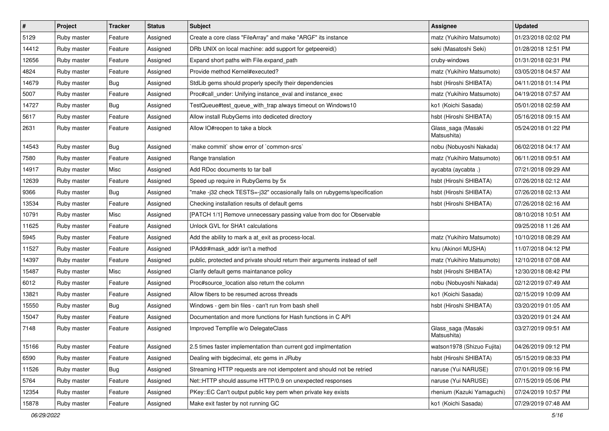| $\vert$ # | Project     | <b>Tracker</b> | <b>Status</b> | Subject                                                                     | Assignee                          | <b>Updated</b>      |
|-----------|-------------|----------------|---------------|-----------------------------------------------------------------------------|-----------------------------------|---------------------|
| 5129      | Ruby master | Feature        | Assigned      | Create a core class "FileArray" and make "ARGF" its instance                | matz (Yukihiro Matsumoto)         | 01/23/2018 02:02 PM |
| 14412     | Ruby master | Feature        | Assigned      | DRb UNIX on local machine: add support for getpeereid()                     | seki (Masatoshi Seki)             | 01/28/2018 12:51 PM |
| 12656     | Ruby master | Feature        | Assigned      | Expand short paths with File.expand_path                                    | cruby-windows                     | 01/31/2018 02:31 PM |
| 4824      | Ruby master | Feature        | Assigned      | Provide method Kernel#executed?                                             | matz (Yukihiro Matsumoto)         | 03/05/2018 04:57 AM |
| 14679     | Ruby master | Bug            | Assigned      | StdLib gems should properly specify their dependencies                      | hsbt (Hiroshi SHIBATA)            | 04/11/2018 01:14 PM |
| 5007      | Ruby master | Feature        | Assigned      | Proc#call_under: Unifying instance_eval and instance_exec                   | matz (Yukihiro Matsumoto)         | 04/19/2018 07:57 AM |
| 14727     | Ruby master | <b>Bug</b>     | Assigned      | TestQueue#test_queue_with_trap always timeout on Windows10                  | ko1 (Koichi Sasada)               | 05/01/2018 02:59 AM |
| 5617      | Ruby master | Feature        | Assigned      | Allow install RubyGems into dediceted directory                             | hsbt (Hiroshi SHIBATA)            | 05/16/2018 09:15 AM |
| 2631      | Ruby master | Feature        | Assigned      | Allow IO#reopen to take a block                                             | Glass_saga (Masaki<br>Matsushita) | 05/24/2018 01:22 PM |
| 14543     | Ruby master | Bug            | Assigned      | 'make commit' show error of 'common-srcs'                                   | nobu (Nobuyoshi Nakada)           | 06/02/2018 04:17 AM |
| 7580      | Ruby master | Feature        | Assigned      | Range translation                                                           | matz (Yukihiro Matsumoto)         | 06/11/2018 09:51 AM |
| 14917     | Ruby master | Misc           | Assigned      | Add RDoc documents to tar ball                                              | aycabta (aycabta.)                | 07/21/2018 09:29 AM |
| 12639     | Ruby master | Feature        | Assigned      | Speed up require in RubyGems by 5x                                          | hsbt (Hiroshi SHIBATA)            | 07/26/2018 02:12 AM |
| 9366      | Ruby master | Bug            | Assigned      | "make-j32 check TESTS=-j32" occasionally fails on rubygems/specification    | hsbt (Hiroshi SHIBATA)            | 07/26/2018 02:13 AM |
| 13534     | Ruby master | Feature        | Assigned      | Checking installation results of default gems                               | hsbt (Hiroshi SHIBATA)            | 07/26/2018 02:16 AM |
| 10791     | Ruby master | Misc           | Assigned      | [PATCH 1/1] Remove unnecessary passing value from doc for Observable        |                                   | 08/10/2018 10:51 AM |
| 11625     | Ruby master | Feature        | Assigned      | Unlock GVL for SHA1 calculations                                            |                                   | 09/25/2018 11:26 AM |
| 5945      | Ruby master | Feature        | Assigned      | Add the ability to mark a at_exit as process-local.                         | matz (Yukihiro Matsumoto)         | 10/10/2018 08:29 AM |
| 11527     | Ruby master | Feature        | Assigned      | IPAddr#mask addr isn't a method                                             | knu (Akinori MUSHA)               | 11/07/2018 04:12 PM |
| 14397     | Ruby master | Feature        | Assigned      | public, protected and private should return their arguments instead of self | matz (Yukihiro Matsumoto)         | 12/10/2018 07:08 AM |
| 15487     | Ruby master | Misc           | Assigned      | Clarify default gems maintanance policy                                     | hsbt (Hiroshi SHIBATA)            | 12/30/2018 08:42 PM |
| 6012      | Ruby master | Feature        | Assigned      | Proc#source location also return the column                                 | nobu (Nobuyoshi Nakada)           | 02/12/2019 07:49 AM |
| 13821     | Ruby master | Feature        | Assigned      | Allow fibers to be resumed across threads                                   | ko1 (Koichi Sasada)               | 02/15/2019 10:09 AM |
| 15550     | Ruby master | <b>Bug</b>     | Assigned      | Windows - gem bin files - can't run from bash shell                         | hsbt (Hiroshi SHIBATA)            | 03/20/2019 01:05 AM |
| 15047     | Ruby master | Feature        | Assigned      | Documentation and more functions for Hash functions in C API                |                                   | 03/20/2019 01:24 AM |
| 7148      | Ruby master | Feature        | Assigned      | Improved Tempfile w/o DelegateClass                                         | Glass_saga (Masaki<br>Matsushita) | 03/27/2019 09:51 AM |
| 15166     | Ruby master | Feature        | Assigned      | 2.5 times faster implementation than current gcd implmentation              | watson1978 (Shizuo Fujita)        | 04/26/2019 09:12 PM |
| 6590      | Ruby master | Feature        | Assigned      | Dealing with bigdecimal, etc gems in JRuby                                  | hsbt (Hiroshi SHIBATA)            | 05/15/2019 08:33 PM |
| 11526     | Ruby master | <b>Bug</b>     | Assigned      | Streaming HTTP requests are not idempotent and should not be retried        | naruse (Yui NARUSE)               | 07/01/2019 09:16 PM |
| 5764      | Ruby master | Feature        | Assigned      | Net::HTTP should assume HTTP/0.9 on unexpected responses                    | naruse (Yui NARUSE)               | 07/15/2019 05:06 PM |
| 12354     | Ruby master | Feature        | Assigned      | PKey::EC Can't output public key pem when private key exists                | rhenium (Kazuki Yamaguchi)        | 07/24/2019 10:57 PM |
| 15878     | Ruby master | Feature        | Assigned      | Make exit faster by not running GC                                          | ko1 (Koichi Sasada)               | 07/29/2019 07:48 AM |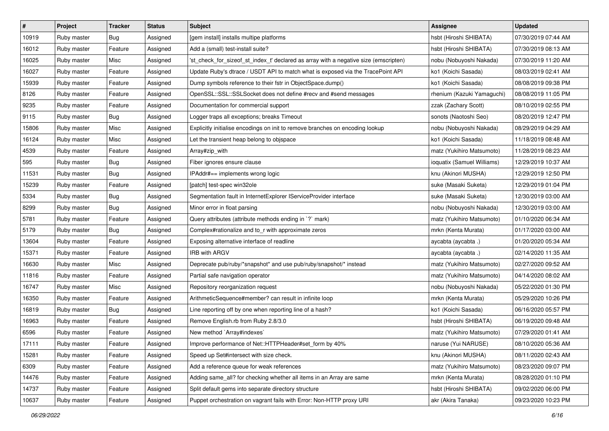| $\vert$ # | Project     | <b>Tracker</b> | <b>Status</b> | <b>Subject</b>                                                                       | Assignee                   | <b>Updated</b>      |
|-----------|-------------|----------------|---------------|--------------------------------------------------------------------------------------|----------------------------|---------------------|
| 10919     | Ruby master | Bug            | Assigned      | [gem install] installs multipe platforms                                             | hsbt (Hiroshi SHIBATA)     | 07/30/2019 07:44 AM |
| 16012     | Ruby master | Feature        | Assigned      | Add a (small) test-install suite?                                                    | hsbt (Hiroshi SHIBATA)     | 07/30/2019 08:13 AM |
| 16025     | Ruby master | Misc           | Assigned      | 'st_check_for_sizeof_st_index_t' declared as array with a negative size (emscripten) | nobu (Nobuyoshi Nakada)    | 07/30/2019 11:20 AM |
| 16027     | Ruby master | Feature        | Assigned      | Update Ruby's dtrace / USDT API to match what is exposed via the TracePoint API      | ko1 (Koichi Sasada)        | 08/03/2019 02:41 AM |
| 15939     | Ruby master | Feature        | Assigned      | Dump symbols reference to their fstr in ObjectSpace.dump()                           | ko1 (Koichi Sasada)        | 08/08/2019 09:38 PM |
| 8126      | Ruby master | Feature        | Assigned      | OpenSSL::SSL::SSLSocket does not define #recv and #send messages                     | rhenium (Kazuki Yamaguchi) | 08/08/2019 11:05 PM |
| 9235      | Ruby master | Feature        | Assigned      | Documentation for commercial support                                                 | zzak (Zachary Scott)       | 08/10/2019 02:55 PM |
| 9115      | Ruby master | <b>Bug</b>     | Assigned      | Logger traps all exceptions; breaks Timeout                                          | sonots (Naotoshi Seo)      | 08/20/2019 12:47 PM |
| 15806     | Ruby master | Misc           | Assigned      | Explicitly initialise encodings on init to remove branches on encoding lookup        | nobu (Nobuyoshi Nakada)    | 08/29/2019 04:29 AM |
| 16124     | Ruby master | Misc           | Assigned      | Let the transient heap belong to objspace                                            | ko1 (Koichi Sasada)        | 11/18/2019 08:48 AM |
| 4539      | Ruby master | Feature        | Assigned      | Array#zip_with                                                                       | matz (Yukihiro Matsumoto)  | 11/28/2019 08:23 AM |
| 595       | Ruby master | <b>Bug</b>     | Assigned      | Fiber ignores ensure clause                                                          | ioquatix (Samuel Williams) | 12/29/2019 10:37 AM |
| 11531     | Ruby master | Bug            | Assigned      | IPAddr#== implements wrong logic                                                     | knu (Akinori MUSHA)        | 12/29/2019 12:50 PM |
| 15239     | Ruby master | Feature        | Assigned      | [patch] test-spec win32ole                                                           | suke (Masaki Suketa)       | 12/29/2019 01:04 PM |
| 5334      | Ruby master | <b>Bug</b>     | Assigned      | Segmentation fault in InternetExplorer IServiceProvider interface                    | suke (Masaki Suketa)       | 12/30/2019 03:00 AM |
| 8299      | Ruby master | Bug            | Assigned      | Minor error in float parsing                                                         | nobu (Nobuyoshi Nakada)    | 12/30/2019 03:00 AM |
| 5781      | Ruby master | Feature        | Assigned      | Query attributes (attribute methods ending in `?` mark)                              | matz (Yukihiro Matsumoto)  | 01/10/2020 06:34 AM |
| 5179      | Ruby master | <b>Bug</b>     | Assigned      | Complex#rationalize and to_r with approximate zeros                                  | mrkn (Kenta Murata)        | 01/17/2020 03:00 AM |
| 13604     | Ruby master | Feature        | Assigned      | Exposing alternative interface of readline                                           | aycabta (aycabta.)         | 01/20/2020 05:34 AM |
| 15371     | Ruby master | Feature        | Assigned      | <b>IRB with ARGV</b>                                                                 | aycabta (aycabta .)        | 02/14/2020 11:35 AM |
| 16630     | Ruby master | Misc           | Assigned      | Deprecate pub/ruby/*snapshot* and use pub/ruby/snapshot/* instead                    | matz (Yukihiro Matsumoto)  | 02/27/2020 09:52 AM |
| 11816     | Ruby master | Feature        | Assigned      | Partial safe navigation operator                                                     | matz (Yukihiro Matsumoto)  | 04/14/2020 08:02 AM |
| 16747     | Ruby master | Misc           | Assigned      | Repository reorganization request                                                    | nobu (Nobuyoshi Nakada)    | 05/22/2020 01:30 PM |
| 16350     | Ruby master | Feature        | Assigned      | ArithmeticSequence#member? can result in infinite loop                               | mrkn (Kenta Murata)        | 05/29/2020 10:26 PM |
| 16819     | Ruby master | Bug            | Assigned      | Line reporting off by one when reporting line of a hash?                             | ko1 (Koichi Sasada)        | 06/16/2020 05:57 PM |
| 16963     | Ruby master | Feature        | Assigned      | Remove English.rb from Ruby 2.8/3.0                                                  | hsbt (Hiroshi SHIBATA)     | 06/19/2020 09:48 AM |
| 6596      | Ruby master | Feature        | Assigned      | New method `Array#indexes`                                                           | matz (Yukihiro Matsumoto)  | 07/29/2020 01:41 AM |
| 17111     | Ruby master | Feature        | Assigned      | Improve performance of Net::HTTPHeader#set_form by 40%                               | naruse (Yui NARUSE)        | 08/10/2020 05:36 AM |
| 15281     | Ruby master | Feature        | Assigned      | Speed up Set#intersect with size check.                                              | knu (Akinori MUSHA)        | 08/11/2020 02:43 AM |
| 6309      | Ruby master | Feature        | Assigned      | Add a reference queue for weak references                                            | matz (Yukihiro Matsumoto)  | 08/23/2020 09:07 PM |
| 14476     | Ruby master | Feature        | Assigned      | Adding same_all? for checking whether all items in an Array are same                 | mrkn (Kenta Murata)        | 08/28/2020 01:10 PM |
| 14737     | Ruby master | Feature        | Assigned      | Split default gems into separate directory structure                                 | hsbt (Hiroshi SHIBATA)     | 09/02/2020 06:00 PM |
| 10637     | Ruby master | Feature        | Assigned      | Puppet orchestration on vagrant fails with Error: Non-HTTP proxy URI                 | akr (Akira Tanaka)         | 09/23/2020 10:23 PM |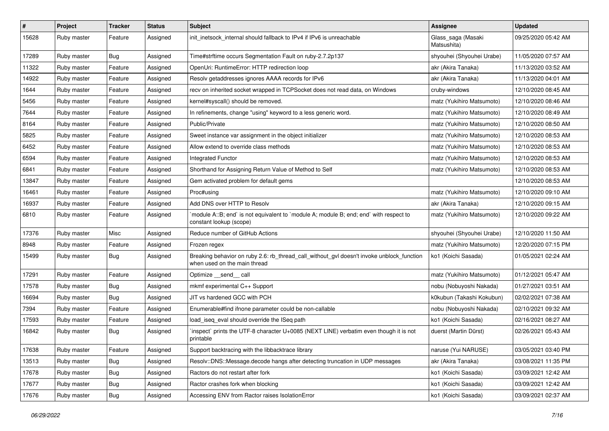| #     | Project     | <b>Tracker</b> | <b>Status</b> | <b>Subject</b>                                                                                                            | Assignee                          | <b>Updated</b>      |
|-------|-------------|----------------|---------------|---------------------------------------------------------------------------------------------------------------------------|-----------------------------------|---------------------|
| 15628 | Ruby master | Feature        | Assigned      | init_inetsock_internal should fallback to IPv4 if IPv6 is unreachable                                                     | Glass_saga (Masaki<br>Matsushita) | 09/25/2020 05:42 AM |
| 17289 | Ruby master | Bug            | Assigned      | Time#strftime occurs Segmentation Fault on ruby-2.7.2p137                                                                 | shyouhei (Shyouhei Urabe)         | 11/05/2020 07:57 AM |
| 11322 | Ruby master | Feature        | Assigned      | OpenUri: RuntimeError: HTTP redirection loop                                                                              | akr (Akira Tanaka)                | 11/13/2020 03:52 AM |
| 14922 | Ruby master | Feature        | Assigned      | Resolv getaddresses ignores AAAA records for IPv6                                                                         | akr (Akira Tanaka)                | 11/13/2020 04:01 AM |
| 1644  | Ruby master | Feature        | Assigned      | recv on inherited socket wrapped in TCPSocket does not read data, on Windows                                              | cruby-windows                     | 12/10/2020 08:45 AM |
| 5456  | Ruby master | Feature        | Assigned      | kernel#syscall() should be removed.                                                                                       | matz (Yukihiro Matsumoto)         | 12/10/2020 08:46 AM |
| 7644  | Ruby master | Feature        | Assigned      | In refinements, change "using" keyword to a less generic word.                                                            | matz (Yukihiro Matsumoto)         | 12/10/2020 08:49 AM |
| 8164  | Ruby master | Feature        | Assigned      | Public/Private                                                                                                            | matz (Yukihiro Matsumoto)         | 12/10/2020 08:50 AM |
| 5825  | Ruby master | Feature        | Assigned      | Sweet instance var assignment in the object initializer                                                                   | matz (Yukihiro Matsumoto)         | 12/10/2020 08:53 AM |
| 6452  | Ruby master | Feature        | Assigned      | Allow extend to override class methods                                                                                    | matz (Yukihiro Matsumoto)         | 12/10/2020 08:53 AM |
| 6594  | Ruby master | Feature        | Assigned      | Integrated Functor                                                                                                        | matz (Yukihiro Matsumoto)         | 12/10/2020 08:53 AM |
| 6841  | Ruby master | Feature        | Assigned      | Shorthand for Assigning Return Value of Method to Self                                                                    | matz (Yukihiro Matsumoto)         | 12/10/2020 08:53 AM |
| 13847 | Ruby master | Feature        | Assigned      | Gem activated problem for default gems                                                                                    |                                   | 12/10/2020 08:53 AM |
| 16461 | Ruby master | Feature        | Assigned      | Proc#using                                                                                                                | matz (Yukihiro Matsumoto)         | 12/10/2020 09:10 AM |
| 16937 | Ruby master | Feature        | Assigned      | Add DNS over HTTP to Resolv                                                                                               | akr (Akira Tanaka)                | 12/10/2020 09:15 AM |
| 6810  | Ruby master | Feature        | Assigned      | `module A::B; end` is not equivalent to `module A; module B; end; end` with respect to<br>constant lookup (scope)         | matz (Yukihiro Matsumoto)         | 12/10/2020 09:22 AM |
| 17376 | Ruby master | Misc           | Assigned      | Reduce number of GitHub Actions                                                                                           | shyouhei (Shyouhei Urabe)         | 12/10/2020 11:50 AM |
| 8948  | Ruby master | Feature        | Assigned      | Frozen regex                                                                                                              | matz (Yukihiro Matsumoto)         | 12/20/2020 07:15 PM |
| 15499 | Ruby master | <b>Bug</b>     | Assigned      | Breaking behavior on ruby 2.6: rb_thread_call_without_gvl doesn't invoke unblock_function<br>when used on the main thread | ko1 (Koichi Sasada)               | 01/05/2021 02:24 AM |
| 17291 | Ruby master | Feature        | Assigned      | Optimize __send__ call                                                                                                    | matz (Yukihiro Matsumoto)         | 01/12/2021 05:47 AM |
| 17578 | Ruby master | <b>Bug</b>     | Assigned      | mkmf experimental C++ Support                                                                                             | nobu (Nobuyoshi Nakada)           | 01/27/2021 03:51 AM |
| 16694 | Ruby master | Bug            | Assigned      | JIT vs hardened GCC with PCH                                                                                              | k0kubun (Takashi Kokubun)         | 02/02/2021 07:38 AM |
| 7394  | Ruby master | Feature        | Assigned      | Enumerable#find ifnone parameter could be non-callable                                                                    | nobu (Nobuyoshi Nakada)           | 02/10/2021 09:32 AM |
| 17593 | Ruby master | Feature        | Assigned      | load iseg eval should override the ISeg path                                                                              | ko1 (Koichi Sasada)               | 02/16/2021 08:27 AM |
| 16842 | Ruby master | <b>Bug</b>     | Assigned      | 'inspect' prints the UTF-8 character U+0085 (NEXT LINE) verbatim even though it is not<br>printable                       | duerst (Martin Dürst)             | 02/26/2021 05:43 AM |
| 17638 | Ruby master | Feature        | Assigned      | Support backtracing with the libbacktrace library                                                                         | naruse (Yui NARUSE)               | 03/05/2021 03:40 PM |
| 13513 | Ruby master | <b>Bug</b>     | Assigned      | Resolv::DNS::Message.decode hangs after detecting truncation in UDP messages                                              | akr (Akira Tanaka)                | 03/08/2021 11:35 PM |
| 17678 | Ruby master | <b>Bug</b>     | Assigned      | Ractors do not restart after fork                                                                                         | ko1 (Koichi Sasada)               | 03/09/2021 12:42 AM |
| 17677 | Ruby master | <b>Bug</b>     | Assigned      | Ractor crashes fork when blocking                                                                                         | ko1 (Koichi Sasada)               | 03/09/2021 12:42 AM |
| 17676 | Ruby master | Bug            | Assigned      | Accessing ENV from Ractor raises IsolationError                                                                           | ko1 (Koichi Sasada)               | 03/09/2021 02:37 AM |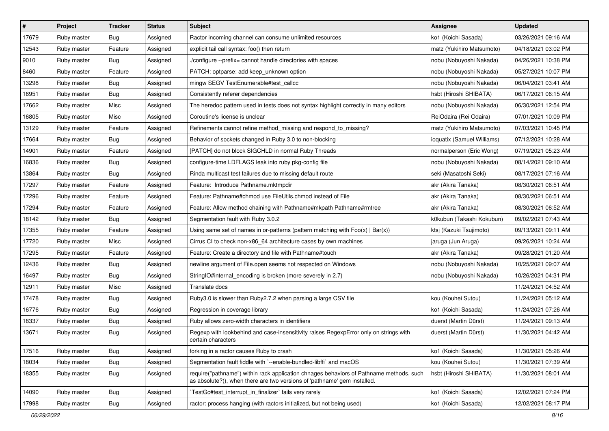| $\vert$ # | Project     | <b>Tracker</b> | <b>Status</b> | <b>Subject</b>                                                                                                                                                      | <b>Assignee</b>            | <b>Updated</b>      |
|-----------|-------------|----------------|---------------|---------------------------------------------------------------------------------------------------------------------------------------------------------------------|----------------------------|---------------------|
| 17679     | Ruby master | Bug            | Assigned      | Ractor incoming channel can consume unlimited resources                                                                                                             | ko1 (Koichi Sasada)        | 03/26/2021 09:16 AM |
| 12543     | Ruby master | Feature        | Assigned      | explicit tail call syntax: foo() then return                                                                                                                        | matz (Yukihiro Matsumoto)  | 04/18/2021 03:02 PM |
| 9010      | Ruby master | Bug            | Assigned      | /configure --prefix= cannot handle directories with spaces                                                                                                          | nobu (Nobuyoshi Nakada)    | 04/26/2021 10:38 PM |
| 8460      | Ruby master | Feature        | Assigned      | PATCH: optparse: add keep_unknown option                                                                                                                            | nobu (Nobuyoshi Nakada)    | 05/27/2021 10:07 PM |
| 13298     | Ruby master | <b>Bug</b>     | Assigned      | mingw SEGV TestEnumerable#test_callcc                                                                                                                               | nobu (Nobuyoshi Nakada)    | 06/04/2021 03:41 AM |
| 16951     | Ruby master | <b>Bug</b>     | Assigned      | Consistently referer dependencies                                                                                                                                   | hsbt (Hiroshi SHIBATA)     | 06/17/2021 06:15 AM |
| 17662     | Ruby master | Misc           | Assigned      | The heredoc pattern used in tests does not syntax highlight correctly in many editors                                                                               | nobu (Nobuyoshi Nakada)    | 06/30/2021 12:54 PM |
| 16805     | Ruby master | Misc           | Assigned      | Coroutine's license is unclear                                                                                                                                      | ReiOdaira (Rei Odaira)     | 07/01/2021 10:09 PM |
| 13129     | Ruby master | Feature        | Assigned      | Refinements cannot refine method_missing and respond_to_missing?                                                                                                    | matz (Yukihiro Matsumoto)  | 07/03/2021 10:45 PM |
| 17664     | Ruby master | Bug            | Assigned      | Behavior of sockets changed in Ruby 3.0 to non-blocking                                                                                                             | ioquatix (Samuel Williams) | 07/12/2021 10:28 AM |
| 14901     | Ruby master | Feature        | Assigned      | [PATCH] do not block SIGCHLD in normal Ruby Threads                                                                                                                 | normalperson (Eric Wong)   | 07/19/2021 05:23 AM |
| 16836     | Ruby master | Bug            | Assigned      | configure-time LDFLAGS leak into ruby pkg-config file                                                                                                               | nobu (Nobuyoshi Nakada)    | 08/14/2021 09:10 AM |
| 13864     | Ruby master | Bug            | Assigned      | Rinda multicast test failures due to missing default route                                                                                                          | seki (Masatoshi Seki)      | 08/17/2021 07:16 AM |
| 17297     | Ruby master | Feature        | Assigned      | Feature: Introduce Pathname.mktmpdir                                                                                                                                | akr (Akira Tanaka)         | 08/30/2021 06:51 AM |
| 17296     | Ruby master | Feature        | Assigned      | Feature: Pathname#chmod use FileUtils.chmod instead of File                                                                                                         | akr (Akira Tanaka)         | 08/30/2021 06:51 AM |
| 17294     | Ruby master | Feature        | Assigned      | Feature: Allow method chaining with Pathname#mkpath Pathname#rmtree                                                                                                 | akr (Akira Tanaka)         | 08/30/2021 06:52 AM |
| 18142     | Ruby master | Bug            | Assigned      | Segmentation fault with Ruby 3.0.2                                                                                                                                  | k0kubun (Takashi Kokubun)  | 09/02/2021 07:43 AM |
| 17355     | Ruby master | Feature        | Assigned      | Using same set of names in or-patterns (pattern matching with $Foo(x)   Bar(x)$ )                                                                                   | ktsj (Kazuki Tsujimoto)    | 09/13/2021 09:11 AM |
| 17720     | Ruby master | Misc           | Assigned      | Cirrus CI to check non-x86_64 architecture cases by own machines                                                                                                    | jaruga (Jun Aruga)         | 09/26/2021 10:24 AM |
| 17295     | Ruby master | Feature        | Assigned      | Feature: Create a directory and file with Pathname#touch                                                                                                            | akr (Akira Tanaka)         | 09/28/2021 01:20 AM |
| 12436     | Ruby master | <b>Bug</b>     | Assigned      | newline argument of File.open seems not respected on Windows                                                                                                        | nobu (Nobuyoshi Nakada)    | 10/25/2021 09:07 AM |
| 16497     | Ruby master | <b>Bug</b>     | Assigned      | StringIO#internal_encoding is broken (more severely in 2.7)                                                                                                         | nobu (Nobuyoshi Nakada)    | 10/26/2021 04:31 PM |
| 12911     | Ruby master | Misc           | Assigned      | Translate docs                                                                                                                                                      |                            | 11/24/2021 04:52 AM |
| 17478     | Ruby master | <b>Bug</b>     | Assigned      | Ruby3.0 is slower than Ruby2.7.2 when parsing a large CSV file                                                                                                      | kou (Kouhei Sutou)         | 11/24/2021 05:12 AM |
| 16776     | Ruby master | Bug            | Assigned      | Regression in coverage library                                                                                                                                      | ko1 (Koichi Sasada)        | 11/24/2021 07:26 AM |
| 18337     | Ruby master | Bug            | Assigned      | Ruby allows zero-width characters in identifiers                                                                                                                    | duerst (Martin Dürst)      | 11/24/2021 09:13 AM |
| 13671     | Ruby master | Bug            | Assigned      | Regexp with lookbehind and case-insensitivity raises RegexpError only on strings with<br>certain characters                                                         | duerst (Martin Dürst)      | 11/30/2021 04:42 AM |
| 17516     | Ruby master | <b>Bug</b>     | Assigned      | forking in a ractor causes Ruby to crash                                                                                                                            | ko1 (Koichi Sasada)        | 11/30/2021 05:26 AM |
| 18034     | Ruby master | <b>Bug</b>     | Assigned      | Segmentation fault fiddle with `--enable-bundled-libffi` and macOS                                                                                                  | kou (Kouhei Sutou)         | 11/30/2021 07:39 AM |
| 18355     | Ruby master | <b>Bug</b>     | Assigned      | require("pathname") within rack application chnages behaviors of Pathname methods, such<br>as absolute?(), when there are two versions of 'pathname' gem installed. | hsbt (Hiroshi SHIBATA)     | 11/30/2021 08:01 AM |
| 14090     | Ruby master | <b>Bug</b>     | Assigned      | TestGc#test_interrupt_in_finalizer`fails very rarely                                                                                                                | ko1 (Koichi Sasada)        | 12/02/2021 07:24 PM |
| 17998     | Ruby master | <b>Bug</b>     | Assigned      | ractor: process hanging (with ractors initialized, but not being used)                                                                                              | ko1 (Koichi Sasada)        | 12/02/2021 08:17 PM |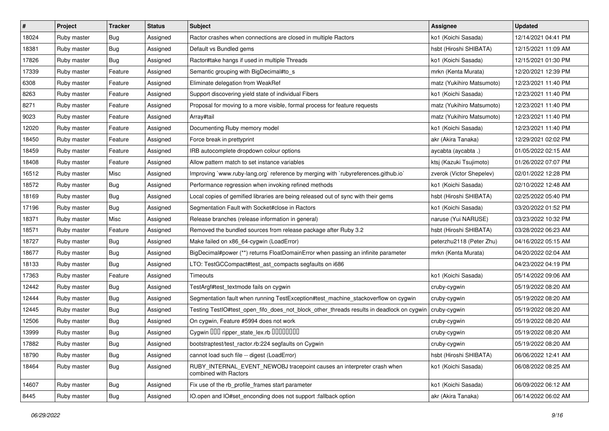| $\vert$ # | Project     | <b>Tracker</b> | <b>Status</b> | <b>Subject</b>                                                                                  | Assignee                  | <b>Updated</b>      |
|-----------|-------------|----------------|---------------|-------------------------------------------------------------------------------------------------|---------------------------|---------------------|
| 18024     | Ruby master | Bug            | Assigned      | Ractor crashes when connections are closed in multiple Ractors                                  | ko1 (Koichi Sasada)       | 12/14/2021 04:41 PM |
| 18381     | Ruby master | Bug            | Assigned      | Default vs Bundled gems                                                                         | hsbt (Hiroshi SHIBATA)    | 12/15/2021 11:09 AM |
| 17826     | Ruby master | Bug            | Assigned      | Ractor#take hangs if used in multiple Threads                                                   | ko1 (Koichi Sasada)       | 12/15/2021 01:30 PM |
| 17339     | Ruby master | Feature        | Assigned      | Semantic grouping with BigDecimal#to_s                                                          | mrkn (Kenta Murata)       | 12/20/2021 12:39 PM |
| 6308      | Ruby master | Feature        | Assigned      | Eliminate delegation from WeakRef                                                               | matz (Yukihiro Matsumoto) | 12/23/2021 11:40 PM |
| 8263      | Ruby master | Feature        | Assigned      | Support discovering yield state of individual Fibers                                            | ko1 (Koichi Sasada)       | 12/23/2021 11:40 PM |
| 8271      | Ruby master | Feature        | Assigned      | Proposal for moving to a more visible, formal process for feature requests                      | matz (Yukihiro Matsumoto) | 12/23/2021 11:40 PM |
| 9023      | Ruby master | Feature        | Assigned      | Array#tail                                                                                      | matz (Yukihiro Matsumoto) | 12/23/2021 11:40 PM |
| 12020     | Ruby master | Feature        | Assigned      | Documenting Ruby memory model                                                                   | ko1 (Koichi Sasada)       | 12/23/2021 11:40 PM |
| 18450     | Ruby master | Feature        | Assigned      | Force break in prettyprint                                                                      | akr (Akira Tanaka)        | 12/29/2021 02:02 PM |
| 18459     | Ruby master | Feature        | Assigned      | IRB autocomplete dropdown colour options                                                        | aycabta (aycabta .)       | 01/05/2022 02:15 AM |
| 18408     | Ruby master | Feature        | Assigned      | Allow pattern match to set instance variables                                                   | ktsj (Kazuki Tsujimoto)   | 01/26/2022 07:07 PM |
| 16512     | Ruby master | Misc           | Assigned      | Improving `www.ruby-lang.org` reference by merging with `rubyreferences.github.io`              | zverok (Victor Shepelev)  | 02/01/2022 12:28 PM |
| 18572     | Ruby master | <b>Bug</b>     | Assigned      | Performance regression when invoking refined methods                                            | ko1 (Koichi Sasada)       | 02/10/2022 12:48 AM |
| 18169     | Ruby master | Bug            | Assigned      | Local copies of gemified libraries are being released out of sync with their gems               | hsbt (Hiroshi SHIBATA)    | 02/25/2022 05:40 PM |
| 17196     | Ruby master | Bug            | Assigned      | Segmentation Fault with Socket#close in Ractors                                                 | ko1 (Koichi Sasada)       | 03/20/2022 01:52 PM |
| 18371     | Ruby master | Misc           | Assigned      | Release branches (release information in general)                                               | naruse (Yui NARUSE)       | 03/23/2022 10:32 PM |
| 18571     | Ruby master | Feature        | Assigned      | Removed the bundled sources from release package after Ruby 3.2                                 | hsbt (Hiroshi SHIBATA)    | 03/28/2022 06:23 AM |
| 18727     | Ruby master | <b>Bug</b>     | Assigned      | Make failed on x86_64-cygwin (LoadError)                                                        | peterzhu2118 (Peter Zhu)  | 04/16/2022 05:15 AM |
| 18677     | Ruby master | Bug            | Assigned      | BigDecimal#power (**) returns FloatDomainError when passing an infinite parameter               | mrkn (Kenta Murata)       | 04/20/2022 02:04 AM |
| 18133     | Ruby master | Bug            | Assigned      | LTO: TestGCCompact#test_ast_compacts segfaults on i686                                          |                           | 04/23/2022 04:19 PM |
| 17363     | Ruby master | Feature        | Assigned      | Timeouts                                                                                        | ko1 (Koichi Sasada)       | 05/14/2022 09:06 AM |
| 12442     | Ruby master | Bug            | Assigned      | TestArgf#test_textmode fails on cygwin                                                          | cruby-cygwin              | 05/19/2022 08:20 AM |
| 12444     | Ruby master | Bug            | Assigned      | Segmentation fault when running TestException#test_machine_stackoverflow on cygwin              | cruby-cygwin              | 05/19/2022 08:20 AM |
| 12445     | Ruby master | Bug            | Assigned      | Testing TestlO#test_open_fifo_does_not_block_other_threads results in deadlock on cygwin        | cruby-cygwin              | 05/19/2022 08:20 AM |
| 12506     | Ruby master | Bug            | Assigned      | On cygwin, Feature #5994 does not work                                                          | cruby-cygwin              | 05/19/2022 08:20 AM |
| 13999     | Ruby master | Bug            | Assigned      | Cygwin 000 ripper_state_lex.rb 0000000                                                          | cruby-cygwin              | 05/19/2022 08:20 AM |
| 17882     | Ruby master | <b>Bug</b>     | Assigned      | bootstraptest/test_ractor.rb:224 segfaults on Cygwin                                            | cruby-cygwin              | 05/19/2022 08:20 AM |
| 18790     | Ruby master | Bug            | Assigned      | cannot load such file -- digest (LoadError)                                                     | hsbt (Hiroshi SHIBATA)    | 06/06/2022 12:41 AM |
| 18464     | Ruby master | <b>Bug</b>     | Assigned      | RUBY INTERNAL EVENT NEWOBJ tracepoint causes an interpreter crash when<br>combined with Ractors | ko1 (Koichi Sasada)       | 06/08/2022 08:25 AM |
| 14607     | Ruby master | Bug            | Assigned      | Fix use of the rb_profile_frames start parameter                                                | ko1 (Koichi Sasada)       | 06/09/2022 06:12 AM |
| 8445      | Ruby master | <b>Bug</b>     | Assigned      | IO.open and IO#set_enconding does not support :fallback option                                  | akr (Akira Tanaka)        | 06/14/2022 06:02 AM |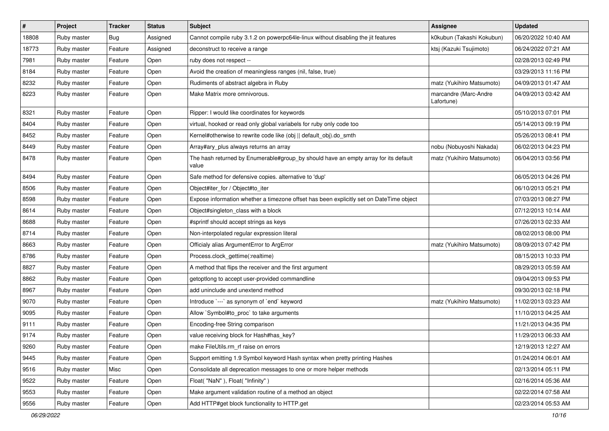| $\vert$ # | Project     | <b>Tracker</b> | <b>Status</b> | <b>Subject</b>                                                                               | <b>Assignee</b>                     | <b>Updated</b>      |
|-----------|-------------|----------------|---------------|----------------------------------------------------------------------------------------------|-------------------------------------|---------------------|
| 18808     | Ruby master | Bug            | Assigned      | Cannot compile ruby 3.1.2 on powerpc64le-linux without disabling the jit features            | k0kubun (Takashi Kokubun)           | 06/20/2022 10:40 AM |
| 18773     | Ruby master | Feature        | Assigned      | deconstruct to receive a range                                                               | ktsj (Kazuki Tsujimoto)             | 06/24/2022 07:21 AM |
| 7981      | Ruby master | Feature        | Open          | ruby does not respect --                                                                     |                                     | 02/28/2013 02:49 PM |
| 8184      | Ruby master | Feature        | Open          | Avoid the creation of meaningless ranges (nil, false, true)                                  |                                     | 03/29/2013 11:16 PM |
| 8232      | Ruby master | Feature        | Open          | Rudiments of abstract algebra in Ruby                                                        | matz (Yukihiro Matsumoto)           | 04/09/2013 01:47 AM |
| 8223      | Ruby master | Feature        | Open          | Make Matrix more omnivorous.                                                                 | marcandre (Marc-Andre<br>Lafortune) | 04/09/2013 03:42 AM |
| 8321      | Ruby master | Feature        | Open          | Ripper: I would like coordinates for keywords                                                |                                     | 05/10/2013 07:01 PM |
| 8404      | Ruby master | Feature        | Open          | virtual, hooked or read only global variabels for ruby only code too                         |                                     | 05/14/2013 09:19 PM |
| 8452      | Ruby master | Feature        | Open          | Kernel#otherwise to rewrite code like (obj    default_obj).do_smth                           |                                     | 05/26/2013 08:41 PM |
| 8449      | Ruby master | Feature        | Open          | Array#ary_plus always returns an array                                                       | nobu (Nobuyoshi Nakada)             | 06/02/2013 04:23 PM |
| 8478      | Ruby master | Feature        | Open          | The hash returned by Enumerable#group_by should have an empty array for its default<br>value | matz (Yukihiro Matsumoto)           | 06/04/2013 03:56 PM |
| 8494      | Ruby master | Feature        | Open          | Safe method for defensive copies. alternative to 'dup'                                       |                                     | 06/05/2013 04:26 PM |
| 8506      | Ruby master | Feature        | Open          | Object#iter_for / Object#to_iter                                                             |                                     | 06/10/2013 05:21 PM |
| 8598      | Ruby master | Feature        | Open          | Expose information whether a timezone offset has been explicitly set on DateTime object      |                                     | 07/03/2013 08:27 PM |
| 8614      | Ruby master | Feature        | Open          | Object#singleton_class with a block                                                          |                                     | 07/12/2013 10:14 AM |
| 8688      | Ruby master | Feature        | Open          | #sprintf should accept strings as keys                                                       |                                     | 07/26/2013 02:33 AM |
| 8714      | Ruby master | Feature        | Open          | Non-interpolated regular expression literal                                                  |                                     | 08/02/2013 08:00 PM |
| 8663      | Ruby master | Feature        | Open          | Officialy alias ArgumentError to ArgError                                                    | matz (Yukihiro Matsumoto)           | 08/09/2013 07:42 PM |
| 8786      | Ruby master | Feature        | Open          | Process.clock_gettime(:realtime)                                                             |                                     | 08/15/2013 10:33 PM |
| 8827      | Ruby master | Feature        | Open          | A method that flips the receiver and the first argument                                      |                                     | 08/29/2013 05:59 AM |
| 8862      | Ruby master | Feature        | Open          | getoptlong to accept user-provided commandline                                               |                                     | 09/04/2013 09:53 PM |
| 8967      | Ruby master | Feature        | Open          | add uninclude and unextend method                                                            |                                     | 09/30/2013 02:18 PM |
| 9070      | Ruby master | Feature        | Open          | Introduce `---` as synonym of `end` keyword                                                  | matz (Yukihiro Matsumoto)           | 11/02/2013 03:23 AM |
| 9095      | Ruby master | Feature        | Open          | Allow `Symbol#to_proc` to take arguments                                                     |                                     | 11/10/2013 04:25 AM |
| 9111      | Ruby master | Feature        | Open          | Encoding-free String comparison                                                              |                                     | 11/21/2013 04:35 PM |
| 9174      | Ruby master | Feature        | Open          | value receiving block for Hash#has_key?                                                      |                                     | 11/29/2013 06:33 AM |
| 9260      | Ruby master | Feature        | Open          | make FileUtils.rm_rf raise on errors                                                         |                                     | 12/19/2013 12:27 AM |
| 9445      | Ruby master | Feature        | Open          | Support emitting 1.9 Symbol keyword Hash syntax when pretty printing Hashes                  |                                     | 01/24/2014 06:01 AM |
| 9516      | Ruby master | Misc           | Open          | Consolidate all deprecation messages to one or more helper methods                           |                                     | 02/13/2014 05:11 PM |
| 9522      | Ruby master | Feature        | Open          | Float("NaN"), Float("Infinity")                                                              |                                     | 02/16/2014 05:36 AM |
| 9553      | Ruby master | Feature        | Open          | Make argument validation routine of a method an object                                       |                                     | 02/22/2014 07:58 AM |
| 9556      | Ruby master | Feature        | Open          | Add HTTP#get block functionality to HTTP.get                                                 |                                     | 02/23/2014 05:53 AM |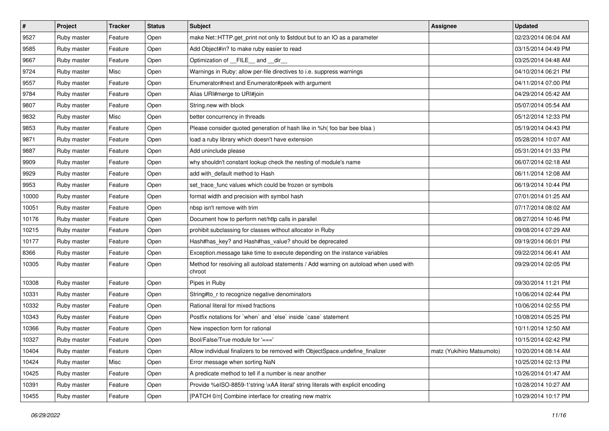| #     | Project     | <b>Tracker</b> | <b>Status</b> | Subject                                                                                         | <b>Assignee</b>           | <b>Updated</b>      |
|-------|-------------|----------------|---------------|-------------------------------------------------------------------------------------------------|---------------------------|---------------------|
| 9527  | Ruby master | Feature        | Open          | make Net::HTTP.get_print not only to \$stdout but to an IO as a parameter                       |                           | 02/23/2014 06:04 AM |
| 9585  | Ruby master | Feature        | Open          | Add Object#in? to make ruby easier to read                                                      |                           | 03/15/2014 04:49 PM |
| 9667  | Ruby master | Feature        | Open          | Optimization of FILE_and _dir_                                                                  |                           | 03/25/2014 04:48 AM |
| 9724  | Ruby master | Misc           | Open          | Warnings in Ruby: allow per-file directives to i.e. suppress warnings                           |                           | 04/10/2014 06:21 PM |
| 9557  | Ruby master | Feature        | Open          | Enumerator#next and Enumerator#peek with argument                                               |                           | 04/11/2014 07:00 PM |
| 9784  | Ruby master | Feature        | Open          | Alias URI#merge to URI#join                                                                     |                           | 04/29/2014 05:42 AM |
| 9807  | Ruby master | Feature        | Open          | String.new with block                                                                           |                           | 05/07/2014 05:54 AM |
| 9832  | Ruby master | Misc           | Open          | better concurrency in threads                                                                   |                           | 05/12/2014 12:33 PM |
| 9853  | Ruby master | Feature        | Open          | Please consider quoted generation of hash like in %h( foo bar bee blaa)                         |                           | 05/19/2014 04:43 PM |
| 9871  | Ruby master | Feature        | Open          | load a ruby library which doesn't have extension                                                |                           | 05/28/2014 10:07 AM |
| 9887  | Ruby master | Feature        | Open          | Add uninclude please                                                                            |                           | 05/31/2014 01:33 PM |
| 9909  | Ruby master | Feature        | Open          | why shouldn't constant lookup check the nesting of module's name                                |                           | 06/07/2014 02:18 AM |
| 9929  | Ruby master | Feature        | Open          | add with_default method to Hash                                                                 |                           | 06/11/2014 12:08 AM |
| 9953  | Ruby master | Feature        | Open          | set_trace_func values which could be frozen or symbols                                          |                           | 06/19/2014 10:44 PM |
| 10000 | Ruby master | Feature        | Open          | format width and precision with symbol hash                                                     |                           | 07/01/2014 01:25 AM |
| 10051 | Ruby master | Feature        | Open          | nbsp isn't remove with trim                                                                     |                           | 07/17/2014 08:02 AM |
| 10176 | Ruby master | Feature        | Open          | Document how to perform net/http calls in parallel                                              |                           | 08/27/2014 10:46 PM |
| 10215 | Ruby master | Feature        | Open          | prohibit subclassing for classes without allocator in Ruby                                      |                           | 09/08/2014 07:29 AM |
| 10177 | Ruby master | Feature        | Open          | Hash#has_key? and Hash#has_value? should be deprecated                                          |                           | 09/19/2014 06:01 PM |
| 8366  | Ruby master | Feature        | Open          | Exception.message take time to execute depending on the instance variables                      |                           | 09/22/2014 06:41 AM |
| 10305 | Ruby master | Feature        | Open          | Method for resolving all autoload statements / Add warning on autoload when used with<br>chroot |                           | 09/29/2014 02:05 PM |
| 10308 | Ruby master | Feature        | Open          | Pipes in Ruby                                                                                   |                           | 09/30/2014 11:21 PM |
| 10331 | Ruby master | Feature        | Open          | String#to_r to recognize negative denominators                                                  |                           | 10/06/2014 02:44 PM |
| 10332 | Ruby master | Feature        | Open          | Rational literal for mixed fractions                                                            |                           | 10/06/2014 02:55 PM |
| 10343 | Ruby master | Feature        | Open          | Postfix notations for `when` and `else` inside `case` statement                                 |                           | 10/08/2014 05:25 PM |
| 10366 | Ruby master | Feature        | Open          | New inspection form for rational                                                                |                           | 10/11/2014 12:50 AM |
| 10327 | Ruby master | Feature        | Open          | Bool/False/True module for '==='                                                                |                           | 10/15/2014 02:42 PM |
| 10404 | Ruby master | Feature        | Open          | Allow individual finalizers to be removed with ObjectSpace.undefine_finalizer                   | matz (Yukihiro Matsumoto) | 10/20/2014 08:14 AM |
| 10424 | Ruby master | Misc           | Open          | Error message when sorting NaN                                                                  |                           | 10/25/2014 02:13 PM |
| 10425 | Ruby master | Feature        | Open          | A predicate method to tell if a number is near another                                          |                           | 10/26/2014 01:47 AM |
| 10391 | Ruby master | Feature        | Open          | Provide %eISO-8859-1'string \xAA literal' string literals with explicit encoding                |                           | 10/28/2014 10:27 AM |
| 10455 | Ruby master | Feature        | Open          | [PATCH 0/n] Combine interface for creating new matrix                                           |                           | 10/29/2014 10:17 PM |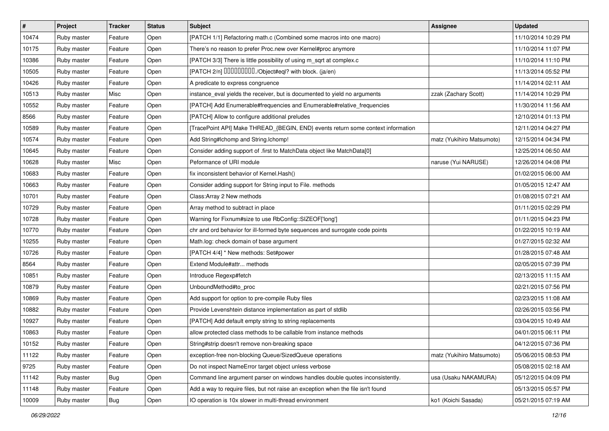| $\vert$ # | Project     | <b>Tracker</b> | <b>Status</b> | <b>Subject</b>                                                                   | <b>Assignee</b>           | <b>Updated</b>      |
|-----------|-------------|----------------|---------------|----------------------------------------------------------------------------------|---------------------------|---------------------|
| 10474     | Ruby master | Feature        | Open          | [PATCH 1/1] Refactoring math.c (Combined some macros into one macro)             |                           | 11/10/2014 10:29 PM |
| 10175     | Ruby master | Feature        | Open          | There's no reason to prefer Proc.new over Kernel#proc anymore                    |                           | 11/10/2014 11:07 PM |
| 10386     | Ruby master | Feature        | Open          | [PATCH 3/3] There is little possibility of using m_sqrt at complex.c             |                           | 11/10/2014 11:10 PM |
| 10505     | Ruby master | Feature        | Open          | [PATCH 2/n] DDDDDDDD./Object#eql? with block. (ja/en)                            |                           | 11/13/2014 05:52 PM |
| 10426     | Ruby master | Feature        | Open          | A predicate to express congruence                                                |                           | 11/14/2014 02:11 AM |
| 10513     | Ruby master | Misc           | Open          | instance_eval yields the receiver, but is documented to yield no arguments       | zzak (Zachary Scott)      | 11/14/2014 10:29 PM |
| 10552     | Ruby master | Feature        | Open          | [PATCH] Add Enumerable#frequencies and Enumerable#relative_frequencies           |                           | 11/30/2014 11:56 AM |
| 8566      | Ruby master | Feature        | Open          | [PATCH] Allow to configure additional preludes                                   |                           | 12/10/2014 01:13 PM |
| 10589     | Ruby master | Feature        | Open          | [TracePoint API] Make THREAD_{BEGIN, END} events return some context information |                           | 12/11/2014 04:27 PM |
| 10574     | Ruby master | Feature        | Open          | Add String#Ichomp and String.Ichomp!                                             | matz (Yukihiro Matsumoto) | 12/15/2014 04:34 PM |
| 10645     | Ruby master | Feature        | Open          | Consider adding support of .first to MatchData object like MatchData[0]          |                           | 12/25/2014 06:50 AM |
| 10628     | Ruby master | Misc           | Open          | Peformance of URI module                                                         | naruse (Yui NARUSE)       | 12/26/2014 04:08 PM |
| 10683     | Ruby master | Feature        | Open          | fix inconsistent behavior of Kernel.Hash()                                       |                           | 01/02/2015 06:00 AM |
| 10663     | Ruby master | Feature        | Open          | Consider adding support for String input to File. methods                        |                           | 01/05/2015 12:47 AM |
| 10701     | Ruby master | Feature        | Open          | Class: Array 2 New methods                                                       |                           | 01/08/2015 07:21 AM |
| 10729     | Ruby master | Feature        | Open          | Array method to subtract in place                                                |                           | 01/11/2015 02:29 PM |
| 10728     | Ruby master | Feature        | Open          | Warning for Fixnum#size to use RbConfig::SIZEOF['long']                          |                           | 01/11/2015 04:23 PM |
| 10770     | Ruby master | Feature        | Open          | chr and ord behavior for ill-formed byte sequences and surrogate code points     |                           | 01/22/2015 10:19 AM |
| 10255     | Ruby master | Feature        | Open          | Math.log: check domain of base argument                                          |                           | 01/27/2015 02:32 AM |
| 10726     | Ruby master | Feature        | Open          | [PATCH 4/4] * New methods: Set#power                                             |                           | 01/28/2015 07:48 AM |
| 8564      | Ruby master | Feature        | Open          | Extend Module#attr methods                                                       |                           | 02/05/2015 07:39 PM |
| 10851     | Ruby master | Feature        | Open          | Introduce Regexp#fetch                                                           |                           | 02/13/2015 11:15 AM |
| 10879     | Ruby master | Feature        | Open          | UnboundMethod#to_proc                                                            |                           | 02/21/2015 07:56 PM |
| 10869     | Ruby master | Feature        | Open          | Add support for option to pre-compile Ruby files                                 |                           | 02/23/2015 11:08 AM |
| 10882     | Ruby master | Feature        | Open          | Provide Levenshtein distance implementation as part of stdlib                    |                           | 02/26/2015 03:56 PM |
| 10927     | Ruby master | Feature        | Open          | [PATCH] Add default empty string to string replacements                          |                           | 03/04/2015 10:49 AM |
| 10863     | Ruby master | Feature        | Open          | allow protected class methods to be callable from instance methods               |                           | 04/01/2015 06:11 PM |
| 10152     | Ruby master | Feature        | Open          | String#strip doesn't remove non-breaking space                                   |                           | 04/12/2015 07:36 PM |
| 11122     | Ruby master | Feature        | Open          | exception-free non-blocking Queue/SizedQueue operations                          | matz (Yukihiro Matsumoto) | 05/06/2015 08:53 PM |
| 9725      | Ruby master | Feature        | Open          | Do not inspect NameError target object unless verbose                            |                           | 05/08/2015 02:18 AM |
| 11142     | Ruby master | <b>Bug</b>     | Open          | Command line argument parser on windows handles double quotes inconsistently.    | usa (Usaku NAKAMURA)      | 05/12/2015 04:09 PM |
| 11148     | Ruby master | Feature        | Open          | Add a way to require files, but not raise an exception when the file isn't found |                           | 05/13/2015 05:57 PM |
| 10009     | Ruby master | Bug            | Open          | IO operation is 10x slower in multi-thread environment                           | ko1 (Koichi Sasada)       | 05/21/2015 07:19 AM |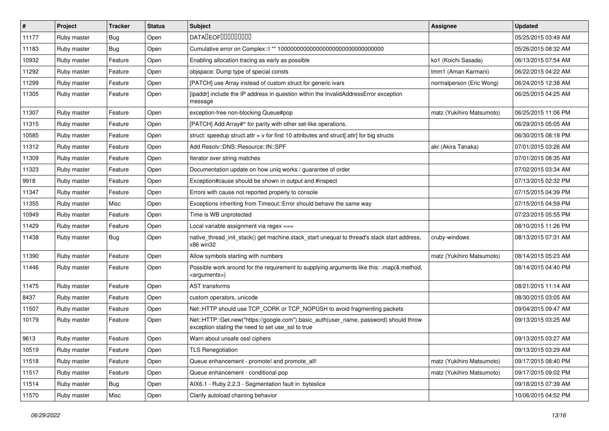| $\vert$ # | Project     | <b>Tracker</b> | <b>Status</b> | <b>Subject</b>                                                                                                                             | <b>Assignee</b>           | <b>Updated</b>      |
|-----------|-------------|----------------|---------------|--------------------------------------------------------------------------------------------------------------------------------------------|---------------------------|---------------------|
| 11177     | Ruby master | Bug            | Open          | <b>DATALEOFILILILILILI</b>                                                                                                                 |                           | 05/25/2015 03:49 AM |
| 11183     | Ruby master | Bug            | Open          |                                                                                                                                            |                           | 05/26/2015 08:32 AM |
| 10932     | Ruby master | Feature        | Open          | Enabling allocation tracing as early as possible                                                                                           | ko1 (Koichi Sasada)       | 06/13/2015 07:54 AM |
| 11292     | Ruby master | Feature        | Open          | objspace: Dump type of special consts                                                                                                      | tmm1 (Aman Karmani)       | 06/22/2015 04:22 AM |
| 11299     | Ruby master | Feature        | Open          | [PATCH] use Array instead of custom struct for generic ivars                                                                               | normalperson (Eric Wong)  | 06/24/2015 12:38 AM |
| 11305     | Ruby master | Feature        | Open          | [ipaddr] include the IP address in question within the InvalidAddressError exception<br>message                                            |                           | 06/25/2015 04:25 AM |
| 11307     | Ruby master | Feature        | Open          | exception-free non-blocking Queue#pop                                                                                                      | matz (Yukihiro Matsumoto) | 06/25/2015 11:06 PM |
| 11315     | Ruby master | Feature        | Open          | [PATCH] Add Array#^ for parity with other set-like operations.                                                                             |                           | 06/29/2015 05:05 AM |
| 10585     | Ruby master | Feature        | Open          | struct: speedup struct.attr = $v$ for first 10 attributes and struct[:attr] for big structs                                                |                           | 06/30/2015 08:18 PM |
| 11312     | Ruby master | Feature        | Open          | Add Resolv::DNS::Resource::IN::SPF                                                                                                         | akr (Akira Tanaka)        | 07/01/2015 03:26 AM |
| 11309     | Ruby master | Feature        | Open          | Iterator over string matches                                                                                                               |                           | 07/01/2015 08:35 AM |
| 11323     | Ruby master | Feature        | Open          | Documentation update on how uniq works / guarantee of order                                                                                |                           | 07/02/2015 03:34 AM |
| 9918      | Ruby master | Feature        | Open          | Exception#cause should be shown in output and #inspect                                                                                     |                           | 07/13/2015 02:32 PM |
| 11347     | Ruby master | Feature        | Open          | Errors with cause not reported properly to console                                                                                         |                           | 07/15/2015 04:39 PM |
| 11355     | Ruby master | Misc           | Open          | Exceptions inheriting from Timeout:: Error should behave the same way                                                                      |                           | 07/15/2015 04:59 PM |
| 10949     | Ruby master | Feature        | Open          | Time is WB unprotected                                                                                                                     |                           | 07/23/2015 05:55 PM |
| 11429     | Ruby master | Feature        | Open          | Local variable assignment via regex ===                                                                                                    |                           | 08/10/2015 11:26 PM |
| 11438     | Ruby master | Bug            | Open          | native thread init stack() get machine.stack start unequal to thread's stack start address,<br>x86 win32                                   | cruby-windows             | 08/13/2015 07:31 AM |
| 11390     | Ruby master | Feature        | Open          | Allow symbols starting with numbers                                                                                                        | matz (Yukihiro Matsumoto) | 08/14/2015 05:23 AM |
| 11446     | Ruby master | Feature        | Open          | Possible work around for the requirement to supplying arguments like this: .map(&:method,<br><arguments>)</arguments>                      |                           | 08/14/2015 04:40 PM |
| 11475     | Ruby master | Feature        | Open          | <b>AST</b> transforms                                                                                                                      |                           | 08/21/2015 11:14 AM |
| 8437      | Ruby master | Feature        | Open          | custom operators, unicode                                                                                                                  |                           | 08/30/2015 03:05 AM |
| 11507     | Ruby master | Feature        | Open          | Net::HTTP should use TCP_CORK or TCP_NOPUSH to avoid fragmenting packets                                                                   |                           | 09/04/2015 09:47 AM |
| 10179     | Ruby master | Feature        | Open          | Net::HTTP::Get.new("https://google.com").basic_auth(user_name, password) should throw<br>exception stating the need to set use_ssl to true |                           | 09/13/2015 03:25 AM |
| 9613      | Ruby master | Feature        | Open          | Warn about unsafe ossl ciphers                                                                                                             |                           | 09/13/2015 03:27 AM |
| 10519     | Ruby master | Feature        | Open          | <b>TLS Renegotiation</b>                                                                                                                   |                           | 09/13/2015 03:29 AM |
| 11518     | Ruby master | Feature        | Open          | Queue enhancement - promote! and promote_all!                                                                                              | matz (Yukihiro Matsumoto) | 09/17/2015 08:40 PM |
| 11517     | Ruby master | Feature        | Open          | Queue enhancement - conditional pop                                                                                                        | matz (Yukihiro Matsumoto) | 09/17/2015 09:02 PM |
| 11514     | Ruby master | Bug            | Open          | AIX6.1 - Ruby 2.2.3 - Segmentation fault in :byteslice                                                                                     |                           | 09/18/2015 07:39 AM |
| 11570     | Ruby master | Misc           | Open          | Clarify autoload chaining behavior                                                                                                         |                           | 10/06/2015 04:52 PM |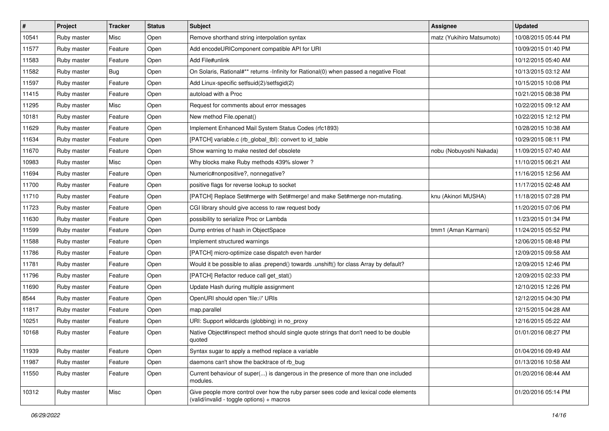| $\vert$ # | Project     | <b>Tracker</b> | <b>Status</b> | <b>Subject</b>                                                                                                                     | Assignee                  | <b>Updated</b>      |
|-----------|-------------|----------------|---------------|------------------------------------------------------------------------------------------------------------------------------------|---------------------------|---------------------|
| 10541     | Ruby master | Misc           | Open          | Remove shorthand string interpolation syntax                                                                                       | matz (Yukihiro Matsumoto) | 10/08/2015 05:44 PM |
| 11577     | Ruby master | Feature        | Open          | Add encodeURIComponent compatible API for URI                                                                                      |                           | 10/09/2015 01:40 PM |
| 11583     | Ruby master | Feature        | Open          | Add File#unlink                                                                                                                    |                           | 10/12/2015 05:40 AM |
| 11582     | Ruby master | Bug            | Open          | On Solaris, Rational#** returns -Infinity for Rational(0) when passed a negative Float                                             |                           | 10/13/2015 03:12 AM |
| 11597     | Ruby master | Feature        | Open          | Add Linux-specific setfsuid(2)/setfsgid(2)                                                                                         |                           | 10/15/2015 10:08 PM |
| 11415     | Ruby master | Feature        | Open          | autoload with a Proc                                                                                                               |                           | 10/21/2015 08:38 PM |
| 11295     | Ruby master | Misc           | Open          | Request for comments about error messages                                                                                          |                           | 10/22/2015 09:12 AM |
| 10181     | Ruby master | Feature        | Open          | New method File.openat()                                                                                                           |                           | 10/22/2015 12:12 PM |
| 11629     | Ruby master | Feature        | Open          | Implement Enhanced Mail System Status Codes (rfc1893)                                                                              |                           | 10/28/2015 10:38 AM |
| 11634     | Ruby master | Feature        | Open          | [PATCH] variable.c (rb_global_tbl): convert to id_table                                                                            |                           | 10/29/2015 08:11 PM |
| 11670     | Ruby master | Feature        | Open          | Show warning to make nested def obsolete                                                                                           | nobu (Nobuyoshi Nakada)   | 11/09/2015 07:40 AM |
| 10983     | Ruby master | Misc           | Open          | Why blocks make Ruby methods 439% slower?                                                                                          |                           | 11/10/2015 06:21 AM |
| 11694     | Ruby master | Feature        | Open          | Numeric#nonpositive?, nonnegative?                                                                                                 |                           | 11/16/2015 12:56 AM |
| 11700     | Ruby master | Feature        | Open          | positive flags for reverse lookup to socket                                                                                        |                           | 11/17/2015 02:48 AM |
| 11710     | Ruby master | Feature        | Open          | [PATCH] Replace Set#merge with Set#merge! and make Set#merge non-mutating.                                                         | knu (Akinori MUSHA)       | 11/18/2015 07:28 PM |
| 11723     | Ruby master | Feature        | Open          | CGI library should give access to raw request body                                                                                 |                           | 11/20/2015 07:06 PM |
| 11630     | Ruby master | Feature        | Open          | possibility to serialize Proc or Lambda                                                                                            |                           | 11/23/2015 01:34 PM |
| 11599     | Ruby master | Feature        | Open          | Dump entries of hash in ObjectSpace                                                                                                | tmm1 (Aman Karmani)       | 11/24/2015 05:52 PM |
| 11588     | Ruby master | Feature        | Open          | Implement structured warnings                                                                                                      |                           | 12/06/2015 08:48 PM |
| 11786     | Ruby master | Feature        | Open          | [PATCH] micro-optimize case dispatch even harder                                                                                   |                           | 12/09/2015 09:58 AM |
| 11781     | Ruby master | Feature        | Open          | Would it be possible to alias .prepend() towards .unshift() for class Array by default?                                            |                           | 12/09/2015 12:46 PM |
| 11796     | Ruby master | Feature        | Open          | [PATCH] Refactor reduce call get_stat()                                                                                            |                           | 12/09/2015 02:33 PM |
| 11690     | Ruby master | Feature        | Open          | Update Hash during multiple assignment                                                                                             |                           | 12/10/2015 12:26 PM |
| 8544      | Ruby master | Feature        | Open          | OpenURI should open 'file://' URIs                                                                                                 |                           | 12/12/2015 04:30 PM |
| 11817     | Ruby master | Feature        | Open          | map.parallel                                                                                                                       |                           | 12/15/2015 04:28 AM |
| 10251     | Ruby master | Feature        | Open          | URI: Support wildcards (globbing) in no_proxy                                                                                      |                           | 12/16/2015 05:22 AM |
| 10168     | Ruby master | Feature        | Open          | Native Object#inspect method should single quote strings that don't need to be double<br>quoted                                    |                           | 01/01/2016 08:27 PM |
| 11939     | Ruby master | Feature        | Open          | Syntax sugar to apply a method replace a variable                                                                                  |                           | 01/04/2016 09:49 AM |
| 11987     | Ruby master | Feature        | Open          | daemons can't show the backtrace of rb bug                                                                                         |                           | 01/13/2016 10:58 AM |
| 11550     | Ruby master | Feature        | Open          | Current behaviour of super() is dangerous in the presence of more than one included<br>modules.                                    |                           | 01/20/2016 08:44 AM |
| 10312     | Ruby master | Misc           | Open          | Give people more control over how the ruby parser sees code and lexical code elements<br>(valid/invalid - toggle options) + macros |                           | 01/20/2016 05:14 PM |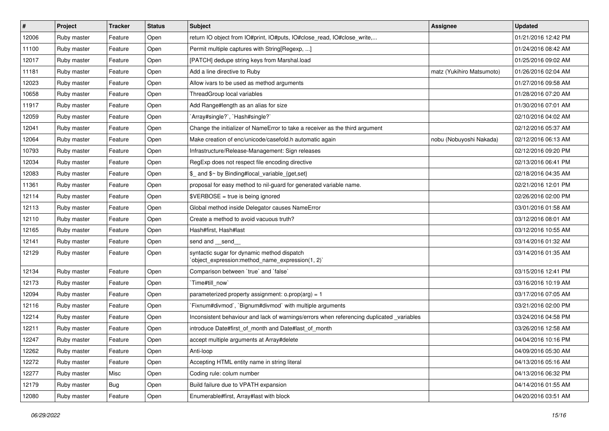| $\sharp$ | Project     | <b>Tracker</b> | <b>Status</b> | Subject                                                                                         | <b>Assignee</b>           | <b>Updated</b>      |
|----------|-------------|----------------|---------------|-------------------------------------------------------------------------------------------------|---------------------------|---------------------|
| 12006    | Ruby master | Feature        | Open          | return IO object from IO#print, IO#puts, IO#close_read, IO#close_write,                         |                           | 01/21/2016 12:42 PM |
| 11100    | Ruby master | Feature        | Open          | Permit multiple captures with String[Regexp, ]                                                  |                           | 01/24/2016 08:42 AM |
| 12017    | Ruby master | Feature        | Open          | [PATCH] dedupe string keys from Marshal.load                                                    |                           | 01/25/2016 09:02 AM |
| 11181    | Ruby master | Feature        | Open          | Add a line directive to Ruby                                                                    | matz (Yukihiro Matsumoto) | 01/26/2016 02:04 AM |
| 12023    | Ruby master | Feature        | Open          | Allow ivars to be used as method arguments                                                      |                           | 01/27/2016 09:58 AM |
| 10658    | Ruby master | Feature        | Open          | ThreadGroup local variables                                                                     |                           | 01/28/2016 07:20 AM |
| 11917    | Ruby master | Feature        | Open          | Add Range#length as an alias for size                                                           |                           | 01/30/2016 07:01 AM |
| 12059    | Ruby master | Feature        | Open          | `Array#single?`, `Hash#single?`                                                                 |                           | 02/10/2016 04:02 AM |
| 12041    | Ruby master | Feature        | Open          | Change the initializer of NameError to take a receiver as the third argument                    |                           | 02/12/2016 05:37 AM |
| 12064    | Ruby master | Feature        | Open          | Make creation of enc/unicode/casefold.h automatic again                                         | nobu (Nobuyoshi Nakada)   | 02/12/2016 06:13 AM |
| 10793    | Ruby master | Feature        | Open          | Infrastructure/Release-Management: Sign releases                                                |                           | 02/12/2016 09:20 PM |
| 12034    | Ruby master | Feature        | Open          | RegExp does not respect file encoding directive                                                 |                           | 02/13/2016 06:41 PM |
| 12083    | Ruby master | Feature        | Open          | \$_ and \$~ by Binding#local_variable_{get,set}                                                 |                           | 02/18/2016 04:35 AM |
| 11361    | Ruby master | Feature        | Open          | proposal for easy method to nil-guard for generated variable name.                              |                           | 02/21/2016 12:01 PM |
| 12114    | Ruby master | Feature        | Open          | $$VERBOSE = true is being ignored$                                                              |                           | 02/26/2016 02:00 PM |
| 12113    | Ruby master | Feature        | Open          | Global method inside Delegator causes NameError                                                 |                           | 03/01/2016 01:58 AM |
| 12110    | Ruby master | Feature        | Open          | Create a method to avoid vacuous truth?                                                         |                           | 03/12/2016 08:01 AM |
| 12165    | Ruby master | Feature        | Open          | Hash#first, Hash#last                                                                           |                           | 03/12/2016 10:55 AM |
| 12141    | Ruby master | Feature        | Open          | send and __send_                                                                                |                           | 03/14/2016 01:32 AM |
| 12129    | Ruby master | Feature        | Open          | syntactic sugar for dynamic method dispatch<br>'object_expression:method_name_expression(1, 2)' |                           | 03/14/2016 01:35 AM |
| 12134    | Ruby master | Feature        | Open          | Comparison between 'true' and 'false'                                                           |                           | 03/15/2016 12:41 PM |
| 12173    | Ruby master | Feature        | Open          | Time#till_now`                                                                                  |                           | 03/16/2016 10:19 AM |
| 12094    | Ruby master | Feature        | Open          | parameterized property assignment: $o.prop(arg) = 1$                                            |                           | 03/17/2016 07:05 AM |
| 12116    | Ruby master | Feature        | Open          | Fixnum#divmod`, `Bignum#divmod` with multiple arguments                                         |                           | 03/21/2016 02:00 PM |
| 12214    | Ruby master | Feature        | Open          | Inconsistent behaviour and lack of warnings/errors when referencing duplicated _variables       |                           | 03/24/2016 04:58 PM |
| 12211    | Ruby master | Feature        | Open          | introduce Date#first of month and Date#last of month                                            |                           | 03/26/2016 12:58 AM |
| 12247    | Ruby master | Feature        | Open          | accept multiple arguments at Array#delete                                                       |                           | 04/04/2016 10:16 PM |
| 12262    | Ruby master | Feature        | Open          | Anti-loop                                                                                       |                           | 04/09/2016 05:30 AM |
| 12272    | Ruby master | Feature        | Open          | Accepting HTML entity name in string literal                                                    |                           | 04/13/2016 05:16 AM |
| 12277    | Ruby master | Misc           | Open          | Coding rule: colum number                                                                       |                           | 04/13/2016 06:32 PM |
| 12179    | Ruby master | <b>Bug</b>     | Open          | Build failure due to VPATH expansion                                                            |                           | 04/14/2016 01:55 AM |
| 12080    | Ruby master | Feature        | Open          | Enumerable#first, Array#last with block                                                         |                           | 04/20/2016 03:51 AM |